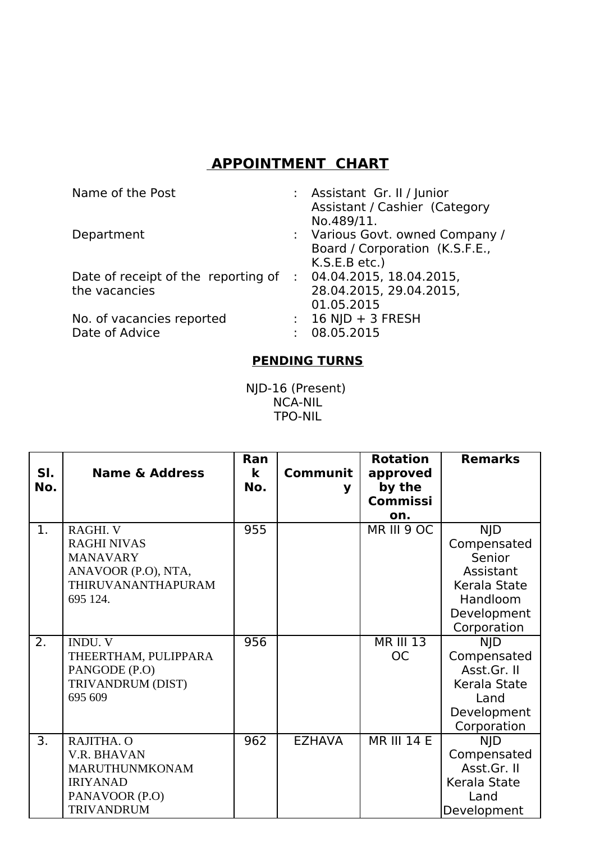## **APPOINTMENT CHART**

| Name of the Post                                     | : Assistant Gr. II / Junior<br>Assistant / Cashier (Category<br>No.489/11.         |
|------------------------------------------------------|------------------------------------------------------------------------------------|
| Department                                           | : Various Govt. owned Company /<br>Board / Corporation (K.S.F.E.,<br>K.S.E.B etc.) |
| Date of receipt of the reporting of<br>the vacancies | : 04.04.2015, 18.04.2015,<br>28.04.2015, 29.04.2015,<br>01.05.2015                 |
| No. of vacancies reported<br>Date of Advice          | $: 16$ NJD + 3 FRESH<br>08.05.2015                                                 |

## **PENDING TURNS**

NJD-16 (Present) NCA-NIL TPO-NIL

| SI.<br>No. | <b>Name &amp; Address</b>                                                                                  | Ran<br>$\mathbf k$<br>No. | <b>Communit</b><br>y | <b>Rotation</b><br>approved<br>by the<br><b>Commissi</b><br>on. | <b>Remarks</b>                                                                                             |
|------------|------------------------------------------------------------------------------------------------------------|---------------------------|----------------------|-----------------------------------------------------------------|------------------------------------------------------------------------------------------------------------|
| 1.         | RAGHI. V<br><b>RAGHI NIVAS</b><br><b>MANAVARY</b><br>ANAVOOR (P.O), NTA,<br>THIRUVANANTHAPURAM<br>695 124. | 955                       |                      | MR III 9 OC                                                     | <b>NJD</b><br>Compensated<br>Senior<br>Assistant<br>Kerala State<br>Handloom<br>Development<br>Corporation |
| 2.         | <b>INDU. V</b><br>THEERTHAM, PULIPPARA<br>PANGODE (P.O)<br>TRIVANDRUM (DIST)<br>695 609                    | 956                       |                      | <b>MR III 13</b><br><b>OC</b>                                   | <b>NJD</b><br>Compensated<br>Asst.Gr. II<br>Kerala State<br>Land<br>Development<br>Corporation             |
| 3.         | RAJITHA. O<br>V.R. BHAVAN<br>MARUTHUNMKONAM<br><b>IRIYANAD</b><br>PANAVOOR (P.O)<br><b>TRIVANDRUM</b>      | 962                       | <b>EZHAVA</b>        | <b>MR III 14 E</b>                                              | <b>NJD</b><br>Compensated<br>Asst.Gr. II<br>Kerala State<br>Land<br>Development                            |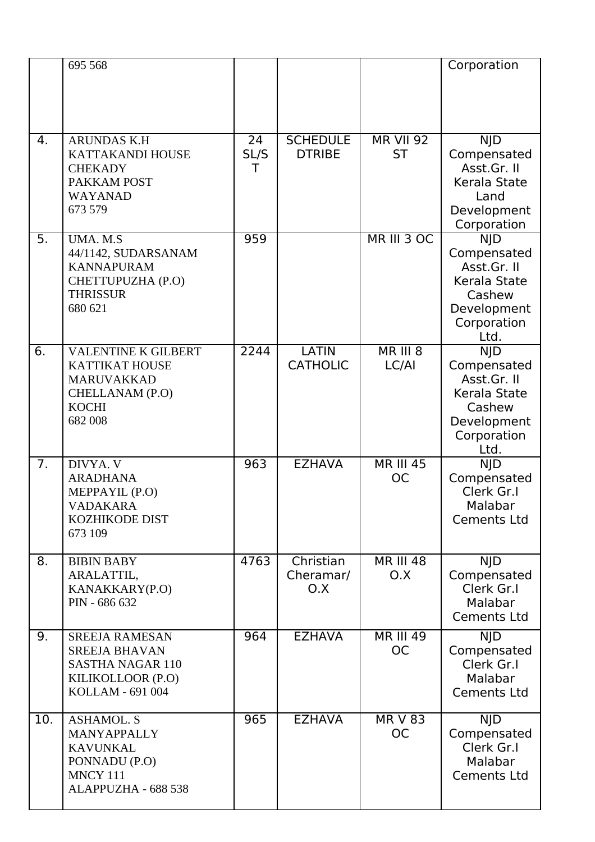|     | 695 568                                                                                                                |                 |                                  |                               | Corporation                                                                                              |
|-----|------------------------------------------------------------------------------------------------------------------------|-----------------|----------------------------------|-------------------------------|----------------------------------------------------------------------------------------------------------|
| 4.  | <b>ARUNDAS K.H</b><br>KATTAKANDI HOUSE<br><b>CHEKADY</b><br>PAKKAM POST<br><b>WAYANAD</b><br>673 579                   | 24<br>SL/S<br>T | <b>SCHEDULE</b><br><b>DTRIBE</b> | <b>MR VII 92</b><br><b>ST</b> | <b>NJD</b><br>Compensated<br>Asst.Gr. II<br>Kerala State<br>Land<br>Development<br>Corporation           |
| 5.  | UMA. M.S<br>44/1142, SUDARSANAM<br><b>KANNAPURAM</b><br>CHETTUPUZHA (P.O)<br><b>THRISSUR</b><br>680 621                | 959             |                                  | MR III 3 OC                   | <b>NJD</b><br>Compensated<br>Asst.Gr. II<br>Kerala State<br>Cashew<br>Development<br>Corporation<br>Ltd. |
| 6.  | <b>VALENTINE K GILBERT</b><br><b>KATTIKAT HOUSE</b><br><b>MARUVAKKAD</b><br>CHELLANAM (P.O)<br><b>KOCHI</b><br>682 008 | 2244            | <b>LATIN</b><br><b>CATHOLIC</b>  | <b>MR III 8</b><br>LC/AI      | <b>NJD</b><br>Compensated<br>Asst.Gr. II<br>Kerala State<br>Cashew<br>Development<br>Corporation<br>Ltd. |
| 7.  | DIVYA. V<br><b>ARADHANA</b><br>MEPPAYIL (P.O)<br><b>VADAKARA</b><br><b>KOZHIKODE DIST</b><br>673 109                   | 963             | <b>EZHAVA</b>                    | <b>MR III 45</b><br><b>OC</b> | <b>NJD</b><br>Compensated<br>Clerk Gr.I<br>Malabar<br><b>Cements Ltd</b>                                 |
| 8.  | <b>BIBIN BABY</b><br>ARALATTIL,<br>KANAKKARY(P.O)<br>PIN - 686 632                                                     | 4763            | Christian<br>Cheramar/<br>O.X    | <b>MR III 48</b><br>O.X       | <b>NJD</b><br>Compensated<br>Clerk Gr.I<br>Malabar<br><b>Cements Ltd</b>                                 |
| 9.  | <b>SREEJA RAMESAN</b><br><b>SREEJA BHAVAN</b><br><b>SASTHA NAGAR 110</b><br>KILIKOLLOOR (P.O)<br>KOLLAM - 691 004      | 964             | <b>EZHAVA</b>                    | <b>MR III 49</b><br><b>OC</b> | <b>NJD</b><br>Compensated<br>Clerk Gr.I<br>Malabar<br><b>Cements Ltd</b>                                 |
| 10. | <b>ASHAMOL. S</b><br>MANYAPPALLY<br><b>KAVUNKAL</b><br>PONNADU (P.O)<br><b>MNCY 111</b><br>ALAPPUZHA - 688 538         | 965             | <b>EZHAVA</b>                    | <b>MR V 83</b><br><b>OC</b>   | <b>NJD</b><br>Compensated<br>Clerk Gr.I<br>Malabar<br><b>Cements Ltd</b>                                 |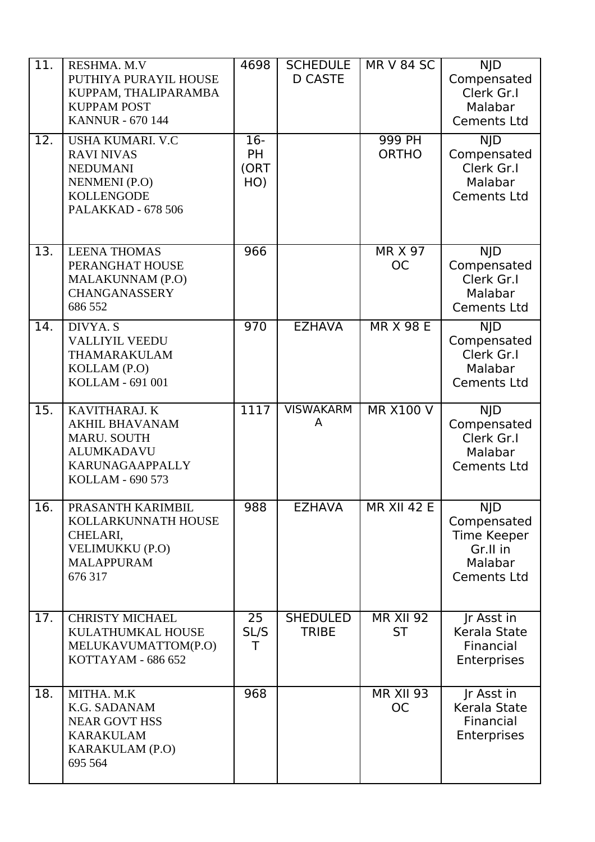| 11. | RESHMA, M.V<br>PUTHIYA PURAYIL HOUSE<br>KUPPAM, THALIPARAMBA<br><b>KUPPAM POST</b><br><b>KANNUR - 670 144</b>                             | 4698                              | <b>SCHEDULE</b><br><b>D CASTE</b> | <b>MR V 84 SC</b>             | <b>NJD</b><br>Compensated<br>Clerk Gr.I<br>Malabar<br><b>Cements Ltd</b>              |
|-----|-------------------------------------------------------------------------------------------------------------------------------------------|-----------------------------------|-----------------------------------|-------------------------------|---------------------------------------------------------------------------------------|
| 12. | <b>USHA KUMARI. V.C</b><br><b>RAVI NIVAS</b><br><b>NEDUMANI</b><br><b>NENMENI</b> (P.O)<br><b>KOLLENGODE</b><br><b>PALAKKAD - 678 506</b> | $16-$<br><b>PH</b><br>(ORT<br>HO) |                                   | 999 PH<br><b>ORTHO</b>        | <b>NJD</b><br>Compensated<br>Clerk Gr.I<br>Malabar<br><b>Cements Ltd</b>              |
| 13. | <b>LEENA THOMAS</b><br>PERANGHAT HOUSE<br>MALAKUNNAM (P.O)<br><b>CHANGANASSERY</b><br>686 552                                             | 966                               |                                   | <b>MR X 97</b><br><b>OC</b>   | <b>NJD</b><br>Compensated<br>Clerk Gr.I<br>Malabar<br><b>Cements Ltd</b>              |
| 14. | DIVYA. S<br><b>VALLIYIL VEEDU</b><br>THAMARAKULAM<br>KOLLAM (P.O)<br>KOLLAM - 691 001                                                     | 970                               | <b>EZHAVA</b>                     | <b>MR X 98 E</b>              | <b>NJD</b><br>Compensated<br>Clerk Gr.I<br>Malabar<br><b>Cements Ltd</b>              |
| 15. | KAVITHARAJ. K<br><b>AKHIL BHAVANAM</b><br>MARU. SOUTH<br><b>ALUMKADAVU</b><br>KARUNAGAAPPALLY<br>KOLLAM - 690 573                         | 1117                              | <b>VISWAKARM</b><br>A             | <b>MR X100 V</b>              | <b>NJD</b><br>Compensated<br>Clerk Gr.I<br>Malabar<br><b>Cements Ltd</b>              |
| 16. | PRASANTH KARIMBIL<br>KOLLARKUNNATH HOUSE<br>CHELARI,<br>VELIMUKKU (P.O)<br><b>MALAPPURAM</b><br>676 317                                   | 988                               | EZHAVA                            | <b>MR XII 42 E</b>            | <b>NJD</b><br>Compensated<br>Time Keeper<br>Gr.II in<br>Malabar<br><b>Cements Ltd</b> |
| 17. | <b>CHRISTY MICHAEL</b><br>KULATHUMKAL HOUSE<br>MELUKAVUMATTOM(P.O)<br>KOTTAYAM - 686 652                                                  | 25<br>SL/S<br>т                   | <b>SHEDULED</b><br><b>TRIBE</b>   | <b>MR XII 92</b><br><b>ST</b> | Ir Asst in<br>Kerala State<br>Financial<br>Enterprises                                |
| 18. | MITHA. M.K<br>K.G. SADANAM<br><b>NEAR GOVT HSS</b><br><b>KARAKULAM</b><br>KARAKULAM (P.O)<br>695 564                                      | 968                               |                                   | <b>MR XII 93</b><br><b>OC</b> | Ir Asst in<br>Kerala State<br>Financial<br><b>Enterprises</b>                         |